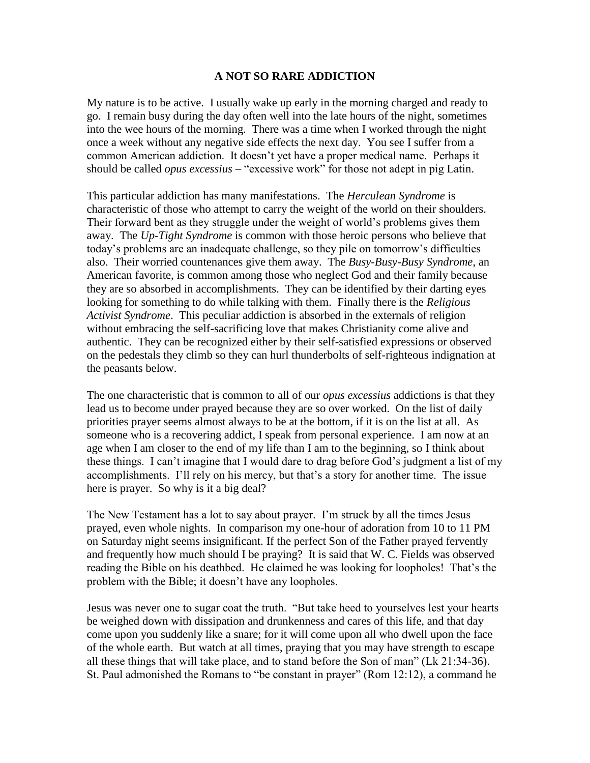## **A NOT SO RARE ADDICTION**

My nature is to be active. I usually wake up early in the morning charged and ready to go. I remain busy during the day often well into the late hours of the night, sometimes into the wee hours of the morning. There was a time when I worked through the night once a week without any negative side effects the next day. You see I suffer from a common American addiction. It doesn't yet have a proper medical name. Perhaps it should be called *opus excessius* – "excessive work" for those not adept in pig Latin.

This particular addiction has many manifestations. The *Herculean Syndrome* is characteristic of those who attempt to carry the weight of the world on their shoulders. Their forward bent as they struggle under the weight of world's problems gives them away. The *Up-Tight Syndrome* is common with those heroic persons who believe that today's problems are an inadequate challenge, so they pile on tomorrow's difficulties also. Their worried countenances give them away. The *Busy-Busy-Busy Syndrome*, an American favorite, is common among those who neglect God and their family because they are so absorbed in accomplishments. They can be identified by their darting eyes looking for something to do while talking with them. Finally there is the *Religious Activist Syndrome*. This peculiar addiction is absorbed in the externals of religion without embracing the self-sacrificing love that makes Christianity come alive and authentic. They can be recognized either by their self-satisfied expressions or observed on the pedestals they climb so they can hurl thunderbolts of self-righteous indignation at the peasants below.

The one characteristic that is common to all of our *opus excessius* addictions is that they lead us to become under prayed because they are so over worked. On the list of daily priorities prayer seems almost always to be at the bottom, if it is on the list at all. As someone who is a recovering addict, I speak from personal experience. I am now at an age when I am closer to the end of my life than I am to the beginning, so I think about these things. I can't imagine that I would dare to drag before God's judgment a list of my accomplishments. I'll rely on his mercy, but that's a story for another time. The issue here is prayer. So why is it a big deal?

The New Testament has a lot to say about prayer. I'm struck by all the times Jesus prayed, even whole nights. In comparison my one-hour of adoration from 10 to 11 PM on Saturday night seems insignificant. If the perfect Son of the Father prayed fervently and frequently how much should I be praying? It is said that W. C. Fields was observed reading the Bible on his deathbed. He claimed he was looking for loopholes! That's the problem with the Bible; it doesn't have any loopholes.

Jesus was never one to sugar coat the truth. "But take heed to yourselves lest your hearts be weighed down with dissipation and drunkenness and cares of this life, and that day come upon you suddenly like a snare; for it will come upon all who dwell upon the face of the whole earth. But watch at all times, praying that you may have strength to escape all these things that will take place, and to stand before the Son of man" (Lk 21:34-36). St. Paul admonished the Romans to "be constant in prayer" (Rom 12:12), a command he